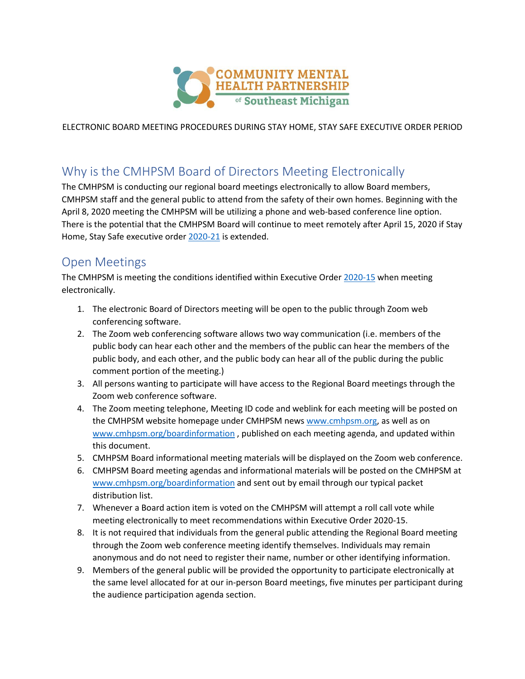

ELECTRONIC BOARD MEETING PROCEDURES DURING STAY HOME, STAY SAFE EXECUTIVE ORDER PERIOD

# Why is the CMHPSM Board of Directors Meeting Electronically

The CMHPSM is conducting our regional board meetings electronically to allow Board members, CMHPSM staff and the general public to attend from the safety of their own homes. Beginning with the April 8, 2020 meeting the CMHPSM will be utilizing a phone and web-based conference line option. There is the potential that the CMHPSM Board will continue to meet remotely after April 15, 2020 if Stay Home, Stay Safe executive order [2020-21](https://www.michigan.gov/whitmer/0,9309,7-387-90499_90705-522626--,00.html) is extended.

### Open Meetings

The CMHPSM is meeting the conditions identified within Executive Order [2020-15](https://www.michigan.gov/whitmer/0,9309,7-387-90499_90705-522173--,00.html) when meeting electronically.

- 1. The electronic Board of Directors meeting will be open to the public through Zoom web conferencing software.
- 2. The Zoom web conferencing software allows two way communication (i.e. members of the public body can hear each other and the members of the public can hear the members of the public body, and each other, and the public body can hear all of the public during the public comment portion of the meeting.)
- 3. All persons wanting to participate will have access to the Regional Board meetings through the Zoom web conference software.
- 4. The Zoom meeting telephone, Meeting ID code and weblink for each meeting will be posted on the CMHPSM website homepage under CMHPSM new[s www.cmhpsm.org,](http://www.cmhpsm.org/) as well as on [www.cmhpsm.org/boardinformation](http://www.cmhpsm.org/boardinformation) , published on each meeting agenda, and updated within this document.
- 5. CMHPSM Board informational meeting materials will be displayed on the Zoom web conference.
- 6. CMHPSM Board meeting agendas and informational materials will be posted on the CMHPSM at [www.cmhpsm.org/boardinformation](http://www.cmhpsm.org/boardinformation) and sent out by email through our typical packet distribution list.
- 7. Whenever a Board action item is voted on the CMHPSM will attempt a roll call vote while meeting electronically to meet recommendations within Executive Order 2020-15.
- 8. It is not required that individuals from the general public attending the Regional Board meeting through the Zoom web conference meeting identify themselves. Individuals may remain anonymous and do not need to register their name, number or other identifying information.
- 9. Members of the general public will be provided the opportunity to participate electronically at the same level allocated for at our in-person Board meetings, five minutes per participant during the audience participation agenda section.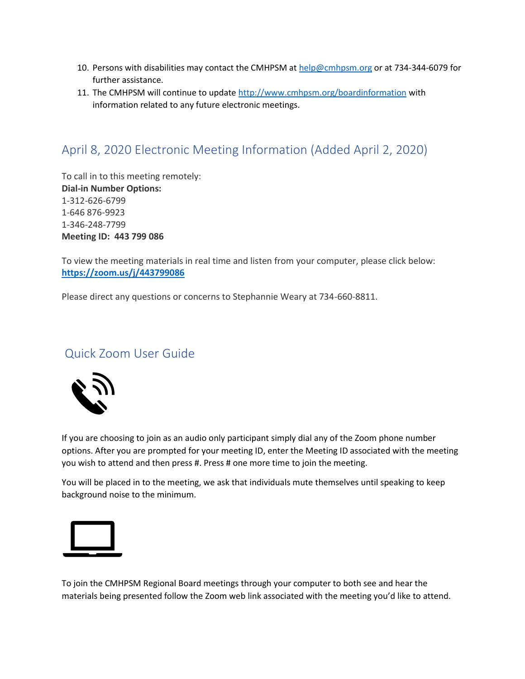- 10. Persons with disabilities may contact the CMHPSM at [help@cmhpsm.org](mailto:help@cmhpsm.org) or at 734-344-6079 for further assistance.
- 11. The CMHPSM will continue to update<http://www.cmhpsm.org/boardinformation> with information related to any future electronic meetings.

# April 8, 2020 Electronic Meeting Information (Added April 2, 2020)

To call in to this meeting remotely: **Dial-in Number Options:** 1-312-626-6799 1-646 876-9923 1-346-248-7799 **Meeting ID: 443 799 086**

To view the meeting materials in real time and listen from your computer, please click below: **<https://zoom.us/j/443799086>**

Please direct any questions or concerns to Stephannie Weary at 734-660-8811.

### Quick Zoom User Guide



If you are choosing to join as an audio only participant simply dial any of the Zoom phone number options. After you are prompted for your meeting ID, enter the Meeting ID associated with the meeting you wish to attend and then press #. Press # one more time to join the meeting.

You will be placed in to the meeting, we ask that individuals mute themselves until speaking to keep background noise to the minimum.



To join the CMHPSM Regional Board meetings through your computer to both see and hear the materials being presented follow the Zoom web link associated with the meeting you'd like to attend.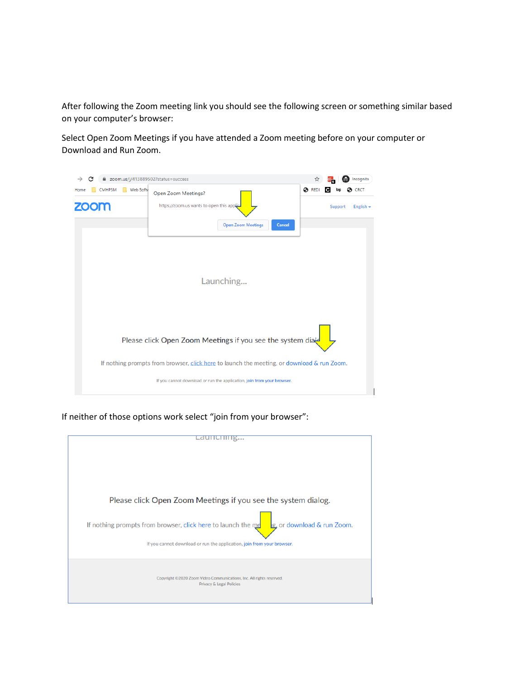After following the Zoom meeting link you should see the following screen or something similar based on your computer's browser:

Select Open Zoom Meetings if you have attended a Zoom meeting before on your computer or Download and Run Zoom.



If neither of those options work select "join from your browser":

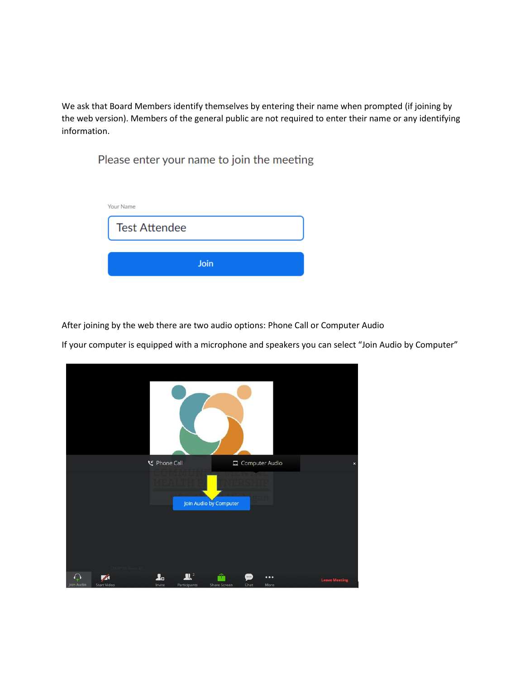We ask that Board Members identify themselves by entering their name when prompted (if joining by the web version). Members of the general public are not required to enter their name or any identifying information.

Please enter your name to join the meeting

| Your Name |  |  |  |
|-----------|--|--|--|
|           |  |  |  |
|           |  |  |  |
| Join      |  |  |  |
|           |  |  |  |

After joining by the web there are two audio options: Phone Call or Computer Audio

If your computer is equipped with a microphone and speakers you can select "Join Audio by Computer"

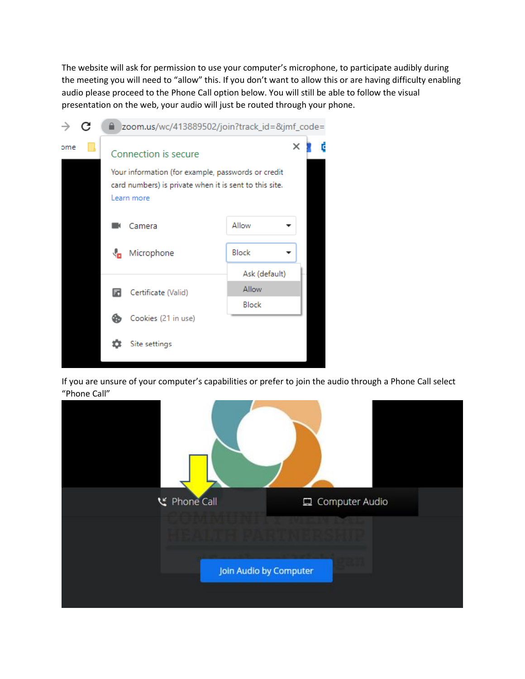The website will ask for permission to use your computer's microphone, to participate audibly during the meeting you will need to "allow" this. If you don't want to allow this or are having difficulty enabling audio please proceed to the Phone Call option below. You will still be able to follow the visual presentation on the web, your audio will just be routed through your phone.

| →   | С<br>200m.us/wc/413889502/join?track_id=&jmf_code=                                                                         |                          |               |
|-----|----------------------------------------------------------------------------------------------------------------------------|--------------------------|---------------|
| ome |                                                                                                                            | Connection is secure     | ×<br>C        |
|     | Your information (for example, passwords or credit<br>card numbers) is private when it is sent to this site.<br>Learn more |                          |               |
|     |                                                                                                                            | Camera                   | Allow         |
|     |                                                                                                                            | Microphone<br>₩          | Block         |
|     |                                                                                                                            |                          | Ask (default) |
|     |                                                                                                                            | Certificate (Valid)<br>ы | Allow         |
|     |                                                                                                                            |                          | Block         |
|     |                                                                                                                            | Cookies (21 in use)<br>ක |               |
|     |                                                                                                                            | Site settings            |               |

If you are unsure of your computer's capabilities or prefer to join the audio through a Phone Call select "Phone Call"

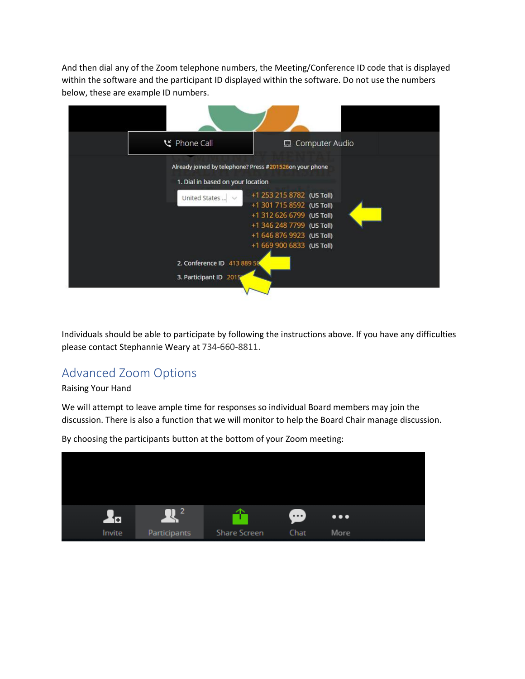And then dial any of the Zoom telephone numbers, the Meeting/Conference ID code that is displayed within the software and the participant ID displayed within the software. Do not use the numbers below, these are example ID numbers.



Individuals should be able to participate by following the instructions above. If you have any difficulties please contact Stephannie Weary at 734-660-8811.

# Advanced Zoom Options

#### Raising Your Hand

We will attempt to leave ample time for responses so individual Board members may join the discussion. There is also a function that we will monitor to help the Board Chair manage discussion.



By choosing the participants button at the bottom of your Zoom meeting: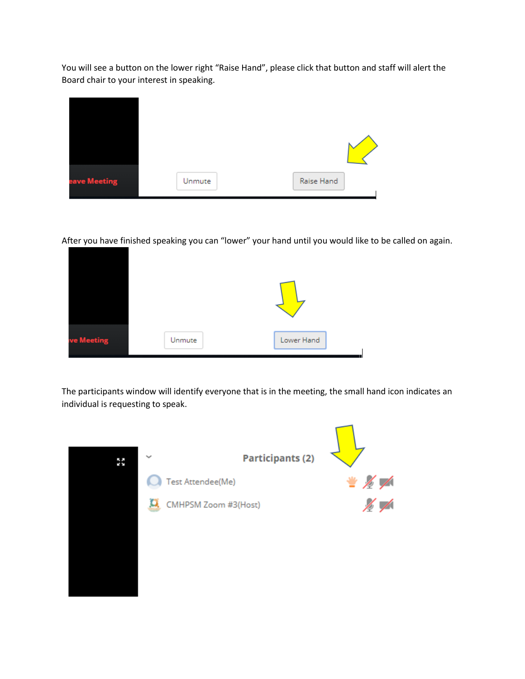You will see a button on the lower right "Raise Hand", please click that button and staff will alert the Board chair to your interest in speaking.



After you have finished speaking you can "lower" your hand until you would like to be called on again.



The participants window will identify everyone that is in the meeting, the small hand icon indicates an individual is requesting to speak.